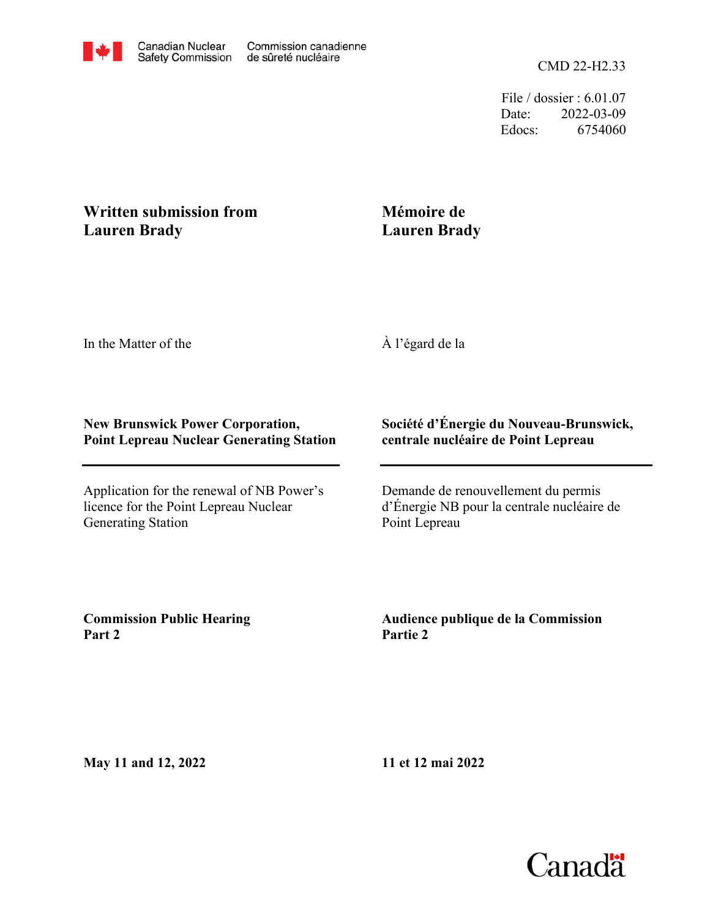File / dossier : 6.01.07 Date: 2022-03-09 Edocs: 6754060

# **Written submission from Lauren Brady**

# **Mémoire de Lauren Brady**

In the Matter of the

À l'égard de la

## **New Brunswick Power Corporation, Point Lepreau Nuclear Generating Station**

Application for the renewal of NB Power's licence for the Point Lepreau Nuclear Generating Station

# **Société d'Énergie du Nouveau-Brunswick, centrale nucléaire de Point Lepreau**

Demande de renouvellement du permis d'Énergie NB pour la centrale nucléaire de Point Lepreau

**Commission Public Hearing Part 2**

**Audience publique de la Commission Partie 2**

**May 11 and 12, 2022**

**11 et 12 mai 2022**

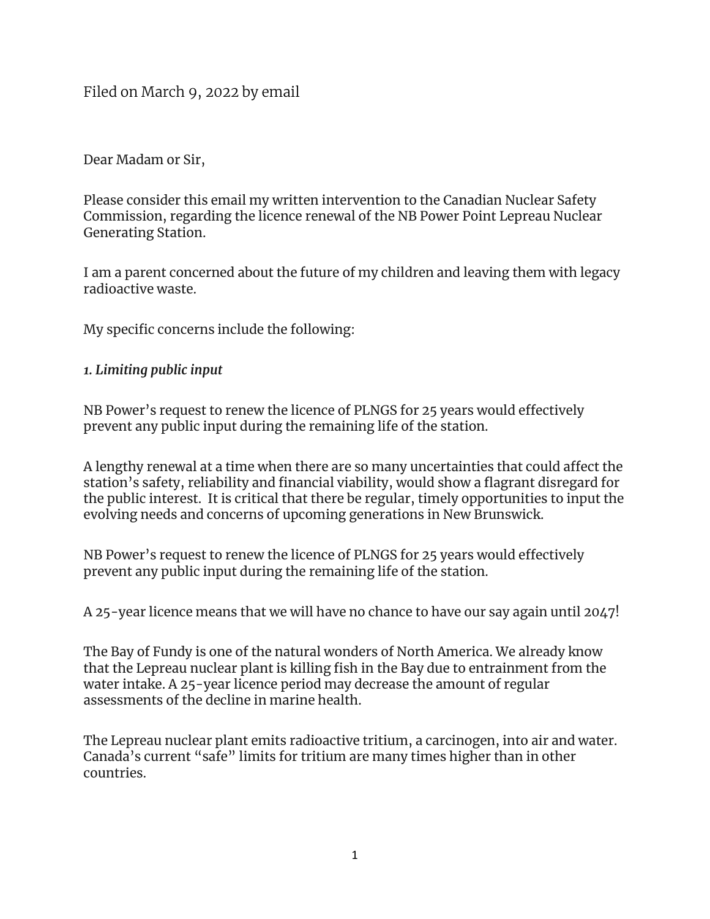Filed on March 9, 2022 by email

Dear Madam or Sir,

Please consider this email my written intervention to the Canadian Nuclear Safety Commission, regarding the licence renewal of the NB Power Point Lepreau Nuclear Generating Station.

I am a parent concerned about the future of my children and leaving them with legacy radioactive waste.

My specific concerns include the following:

### *1. Limiting public input*

NB Power's request to renew the licence of PLNGS for 25 years would effectively prevent any public input during the remaining life of the station.

A lengthy renewal at a time when there are so many uncertainties that could affect the station's safety, reliability and financial viability, would show a flagrant disregard for the public interest. It is critical that there be regular, timely opportunities to input the evolving needs and concerns of upcoming generations in New Brunswick.

NB Power's request to renew the licence of PLNGS for 25 years would effectively prevent any public input during the remaining life of the station.

A 25-year licence means that we will have no chance to have our say again until 2047!

The Bay of Fundy is one of the natural wonders of North America. We already know that the Lepreau nuclear plant is killing fish in the Bay due to entrainment from the water intake. A 25-year licence period may decrease the amount of regular assessments of the decline in marine health.

The Lepreau nuclear plant emits radioactive tritium, a carcinogen, into air and water. Canada's current "safe" limits for tritium are many times higher than in other countries.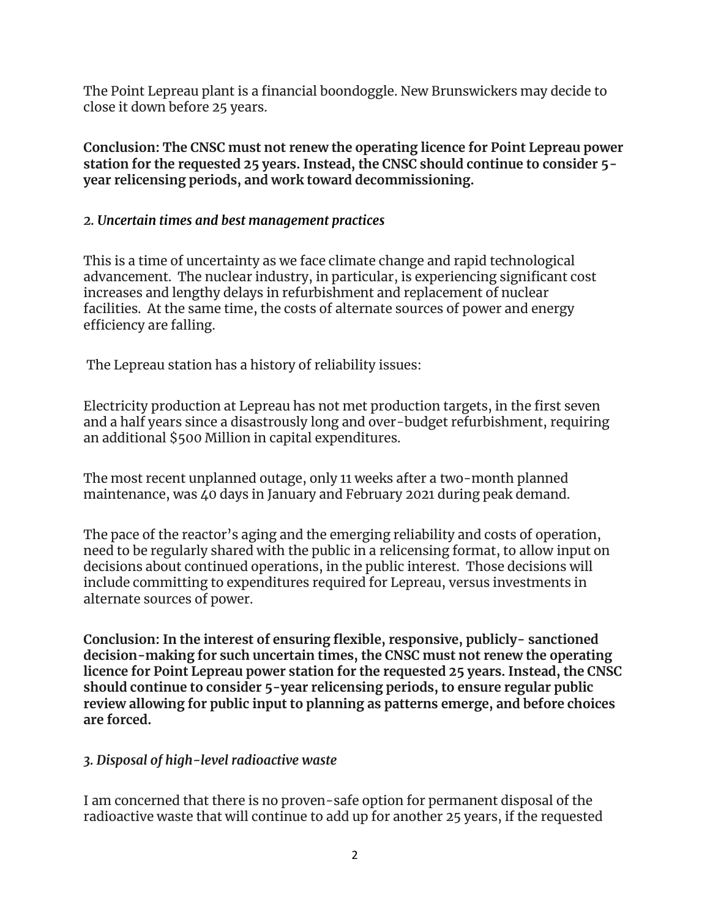The Point Lepreau plant is a financial boondoggle. New Brunswickers may decide to close it down before 25 years.

**Conclusion: The CNSC must not renew the operating licence for Point Lepreau power station for the requested 25 years. Instead, the CNSC should continue to consider 5 year relicensing periods, and work toward decommissioning.**

## *2. Uncertain times and best management practices*

This is a time of uncertainty as we face climate change and rapid technological advancement. The nuclear industry, in particular, is experiencing significant cost increases and lengthy delays in refurbishment and replacement of nuclear facilities. At the same time, the costs of alternate sources of power and energy efficiency are falling.

The Lepreau station has a history of reliability issues:

Electricity production at Lepreau has not met production targets, in the first seven and a half years since a disastrously long and over-budget refurbishment, requiring an additional \$500 Million in capital expenditures.

The most recent unplanned outage, only 11 weeks after a two-month planned maintenance, was 40 days in January and February 2021 during peak demand.

The pace of the reactor's aging and the emerging reliability and costs of operation, need to be regularly shared with the public in a relicensing format, to allow input on decisions about continued operations, in the public interest. Those decisions will include committing to expenditures required for Lepreau, versus investments in alternate sources of power.

**Conclusion: In the interest of ensuring flexible, responsive, publicly- sanctioned decision-making for such uncertain times, the CNSC must not renew the operating licence for Point Lepreau power station for the requested 25 years. Instead, the CNSC should continue to consider 5-year relicensing periods, to ensure regular public review allowing for public input to planning as patterns emerge, and before choices are forced.**

## *3. Disposal of high-level radioactive waste*

I am concerned that there is no proven-safe option for permanent disposal of the radioactive waste that will continue to add up for another 25 years, if the requested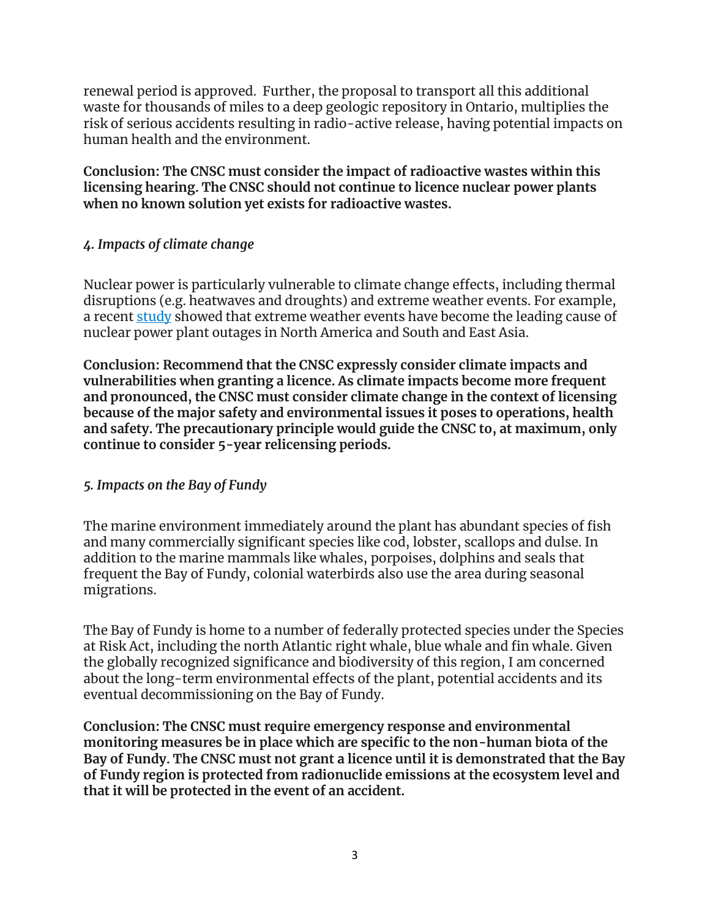renewal period is approved. Further, the proposal to transport all this additional waste for thousands of miles to a deep geologic repository in Ontario, multiplies the risk of serious accidents resulting in radio-active release, having potential impacts on human health and the environment.

**Conclusion: The CNSC must consider the impact of radioactive wastes within this licensing hearing. The CNSC should not continue to licence nuclear power plants when no known solution yet exists for radioactive wastes.**

## *4. Impacts of climate change*

Nuclear power is particularly vulnerable to climate change effects, including thermal disruptions (e.g. heatwaves and droughts) and extreme weather events. For example, a recent [study](https://www.nature.com/articles/s41560-021-00849-y) showed that extreme weather events have become the leading cause of nuclear power plant outages in North America and South and East Asia.

**Conclusion: Recommend that the CNSC expressly consider climate impacts and vulnerabilities when granting a licence. As climate impacts become more frequent and pronounced, the CNSC must consider climate change in the context of licensing because of the major safety and environmental issues it poses to operations, health and safety. The precautionary principle would guide the CNSC to, at maximum, only continue to consider 5-year relicensing periods.**

### *5. Impacts on the Bay of Fundy*

The marine environment immediately around the plant has abundant species of fish and many commercially significant species like cod, lobster, scallops and dulse. In addition to the marine mammals like whales, porpoises, dolphins and seals that frequent the Bay of Fundy, colonial waterbirds also use the area during seasonal migrations.

The Bay of Fundy is home to a number of federally protected species under the Species at Risk Act, including the north Atlantic right whale, blue whale and fin whale. Given the globally recognized significance and biodiversity of this region, I am concerned about the long-term environmental effects of the plant, potential accidents and its eventual decommissioning on the Bay of Fundy.

**Conclusion: The CNSC must require emergency response and environmental monitoring measures be in place which are specific to the non-human biota of the Bay of Fundy. The CNSC must not grant a licence until it is demonstrated that the Bay of Fundy region is protected from radionuclide emissions at the ecosystem level and that it will be protected in the event of an accident.**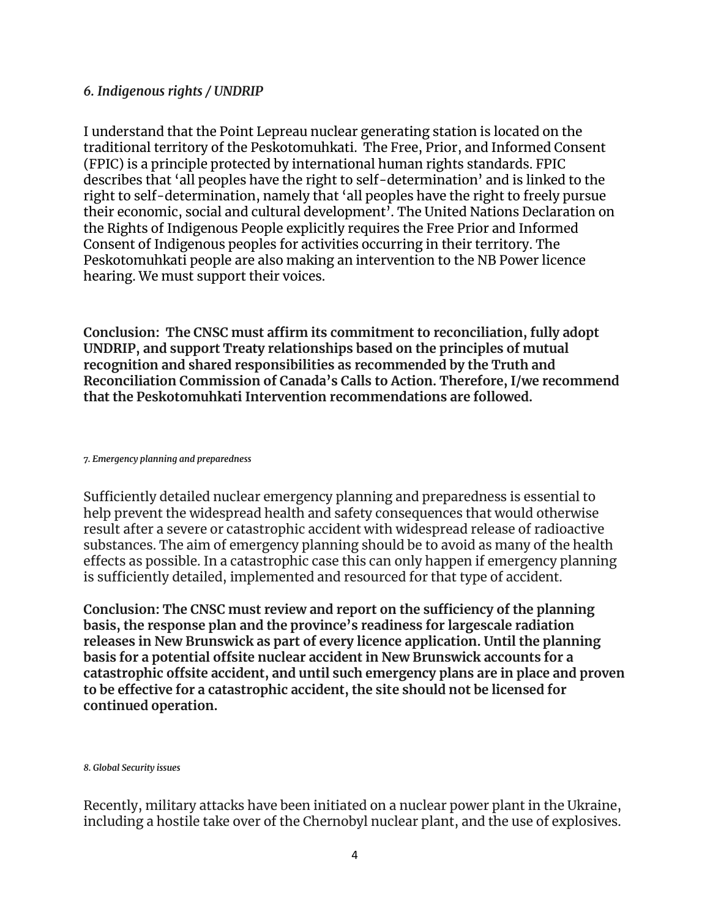#### *6. Indigenous rights / UNDRIP*

I understand that the Point Lepreau nuclear generating station is located on the traditional territory of the Peskotomuhkati. The Free, Prior, and Informed Consent (FPIC) is a principle protected by international human rights standards. FPIC describes that 'all peoples have the right to self-determination' and is linked to the right to self-determination, namely that 'all peoples have the right to freely pursue their economic, social and cultural development'. The United Nations Declaration on the Rights of Indigenous People explicitly requires the Free Prior and Informed Consent of Indigenous peoples for activities occurring in their territory. The Peskotomuhkati people are also making an intervention to the NB Power licence hearing. We must support their voices.

**Conclusion: The CNSC must affirm its commitment to reconciliation, fully adopt UNDRIP, and support Treaty relationships based on the principles of mutual recognition and shared responsibilities as recommended by the Truth and Reconciliation Commission of Canada's Calls to Action. Therefore, I/we recommend that the Peskotomuhkati Intervention recommendations are followed.**

*7. Emergency planning and preparedness*

Sufficiently detailed nuclear emergency planning and preparedness is essential to help prevent the widespread health and safety consequences that would otherwise result after a severe or catastrophic accident with widespread release of radioactive substances. The aim of emergency planning should be to avoid as many of the health effects as possible. In a catastrophic case this can only happen if emergency planning is sufficiently detailed, implemented and resourced for that type of accident.

**Conclusion: The CNSC must review and report on the sufficiency of the planning basis, the response plan and the province's readiness for largescale radiation releases in New Brunswick as part of every licence application. Until the planning basis for a potential offsite nuclear accident in New Brunswick accounts for a catastrophic offsite accident, and until such emergency plans are in place and proven to be effective for a catastrophic accident, the site should not be licensed for continued operation.**

*8. Global Security issues*

Recently, military attacks have been initiated on a nuclear power plant in the Ukraine, including a hostile take over of the Chernobyl nuclear plant, and the use of explosives.